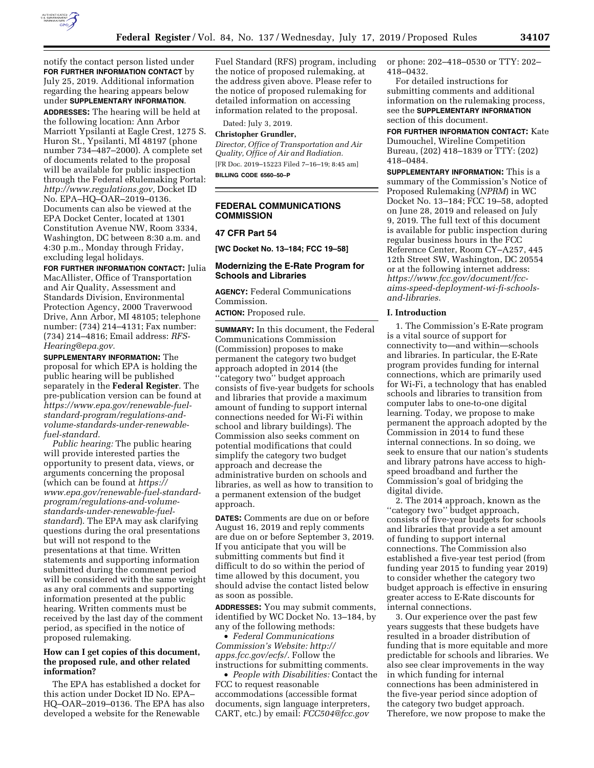

notify the contact person listed under **FOR FURTHER INFORMATION CONTACT** by July 25, 2019. Additional information regarding the hearing appears below under **SUPPLEMENTARY INFORMATION**. **ADDRESSES:** The hearing will be held at the following location: Ann Arbor Marriott Ypsilanti at Eagle Crest, 1275 S. Huron St., Ypsilanti, MI 48197 (phone number 734–487–2000). A complete set of documents related to the proposal will be available for public inspection through the Federal eRulemaking Portal: *[http://www.regulations.gov,](http://www.regulations.gov)* Docket ID No. EPA–HQ–OAR–2019–0136. Documents can also be viewed at the EPA Docket Center, located at 1301 Constitution Avenue NW, Room 3334, Washington, DC between 8:30 a.m. and 4:30 p.m., Monday through Friday, excluding legal holidays.

**FOR FURTHER INFORMATION CONTACT:** Julia MacAllister, Office of Transportation and Air Quality, Assessment and Standards Division, Environmental Protection Agency, 2000 Traverwood Drive, Ann Arbor, MI 48105; telephone number: (734) 214–4131; Fax number: (734) 214–4816; Email address: *[RFS-](mailto:RFS-Hearing@epa.gov)[Hearing@epa.gov.](mailto:RFS-Hearing@epa.gov)* 

**SUPPLEMENTARY INFORMATION:** The proposal for which EPA is holding the public hearing will be published separately in the **Federal Register**. The pre-publication version can be found at *[https://www.epa.gov/renewable-fuel](https://www.epa.gov/renewable-fuel-standard-program/regulations-and-volume-standards-under-renewable-fuel-standard)[standard-program/regulations-and](https://www.epa.gov/renewable-fuel-standard-program/regulations-and-volume-standards-under-renewable-fuel-standard)[volume-standards-under-renewable](https://www.epa.gov/renewable-fuel-standard-program/regulations-and-volume-standards-under-renewable-fuel-standard)[fuel-standard.](https://www.epa.gov/renewable-fuel-standard-program/regulations-and-volume-standards-under-renewable-fuel-standard)* 

*Public hearing:* The public hearing will provide interested parties the opportunity to present data, views, or arguments concerning the proposal (which can be found at *[https://](https://www.epa.gov/renewable-fuel-standard-program/regulations-and-volume-standards-under-renewable-fuel-standard) [www.epa.gov/renewable-fuel-standard](https://www.epa.gov/renewable-fuel-standard-program/regulations-and-volume-standards-under-renewable-fuel-standard)[program/regulations-and-volume](https://www.epa.gov/renewable-fuel-standard-program/regulations-and-volume-standards-under-renewable-fuel-standard)[standards-under-renewable-fuel](https://www.epa.gov/renewable-fuel-standard-program/regulations-and-volume-standards-under-renewable-fuel-standard)[standard](https://www.epa.gov/renewable-fuel-standard-program/regulations-and-volume-standards-under-renewable-fuel-standard)*). The EPA may ask clarifying questions during the oral presentations but will not respond to the presentations at that time. Written statements and supporting information submitted during the comment period will be considered with the same weight as any oral comments and supporting information presented at the public hearing. Written comments must be received by the last day of the comment period, as specified in the notice of proposed rulemaking.

## **How can I get copies of this document, the proposed rule, and other related information?**

The EPA has established a docket for this action under Docket ID No. EPA– HQ–OAR–2019–0136. The EPA has also developed a website for the Renewable

Fuel Standard (RFS) program, including the notice of proposed rulemaking, at the address given above. Please refer to the notice of proposed rulemaking for detailed information on accessing information related to the proposal.

Dated: July 3, 2019.

## **Christopher Grundler,**

*Director, Office of Transportation and Air Quality, Office of Air and Radiation.*  [FR Doc. 2019–15223 Filed 7–16–19; 8:45 am] **BILLING CODE 6560–50–P** 

# **FEDERAL COMMUNICATIONS COMMISSION**

## **47 CFR Part 54**

**[WC Docket No. 13–184; FCC 19–58]** 

## **Modernizing the E-Rate Program for Schools and Libraries**

**AGENCY:** Federal Communications Commission.

**ACTION:** Proposed rule.

**SUMMARY:** In this document, the Federal Communications Commission (Commission) proposes to make permanent the category two budget approach adopted in 2014 (the ''category two'' budget approach consists of five-year budgets for schools and libraries that provide a maximum amount of funding to support internal connections needed for Wi-Fi within school and library buildings). The Commission also seeks comment on potential modifications that could simplify the category two budget approach and decrease the administrative burden on schools and libraries, as well as how to transition to a permanent extension of the budget approach.

**DATES:** Comments are due on or before August 16, 2019 and reply comments are due on or before September 3, 2019. If you anticipate that you will be submitting comments but find it difficult to do so within the period of time allowed by this document, you should advise the contact listed below as soon as possible.

**ADDRESSES:** You may submit comments, identified by WC Docket No. 13–184, by any of the following methods:

• *Federal Communications Commission's Website: [http://](http://apps.fcc.gov/ecfs/) [apps.fcc.gov/ecfs/.](http://apps.fcc.gov/ecfs/)* Follow the instructions for submitting comments.

• *People with Disabilities:* Contact the FCC to request reasonable accommodations (accessible format documents, sign language interpreters, CART, etc.) by email: *[FCC504@fcc.gov](mailto:FCC504@fcc.gov)* 

or phone: 202–418–0530 or TTY: 202– 418–0432.

For detailed instructions for submitting comments and additional information on the rulemaking process, see the **SUPPLEMENTARY INFORMATION** section of this document.

**FOR FURTHER INFORMATION CONTACT:** Kate Dumouchel, Wireline Competition Bureau, (202) 418–1839 or TTY: (202) 418–0484.

**SUPPLEMENTARY INFORMATION:** This is a summary of the Commission's Notice of Proposed Rulemaking (*NPRM*) in WC Docket No. 13–184; FCC 19–58, adopted on June 28, 2019 and released on July 9, 2019. The full text of this document is available for public inspection during regular business hours in the FCC Reference Center, Room CY–A257, 445 12th Street SW, Washington, DC 20554 or at the following internet address: *[https://www.fcc.gov/document/fcc](https://www.fcc.gov/document/fcc-aims-speed-deployment-wi-fi-schools-and-libraries)[aims-speed-deployment-wi-fi-schools](https://www.fcc.gov/document/fcc-aims-speed-deployment-wi-fi-schools-and-libraries)[and-libraries.](https://www.fcc.gov/document/fcc-aims-speed-deployment-wi-fi-schools-and-libraries)* 

## **I. Introduction**

1. The Commission's E-Rate program is a vital source of support for connectivity to—and within—schools and libraries. In particular, the E-Rate program provides funding for internal connections, which are primarily used for Wi-Fi, a technology that has enabled schools and libraries to transition from computer labs to one-to-one digital learning. Today, we propose to make permanent the approach adopted by the Commission in 2014 to fund these internal connections. In so doing, we seek to ensure that our nation's students and library patrons have access to highspeed broadband and further the Commission's goal of bridging the digital divide.

2. The 2014 approach, known as the ''category two'' budget approach, consists of five-year budgets for schools and libraries that provide a set amount of funding to support internal connections. The Commission also established a five-year test period (from funding year 2015 to funding year 2019) to consider whether the category two budget approach is effective in ensuring greater access to E-Rate discounts for internal connections.

3. Our experience over the past few years suggests that these budgets have resulted in a broader distribution of funding that is more equitable and more predictable for schools and libraries. We also see clear improvements in the way in which funding for internal connections has been administered in the five-year period since adoption of the category two budget approach. Therefore, we now propose to make the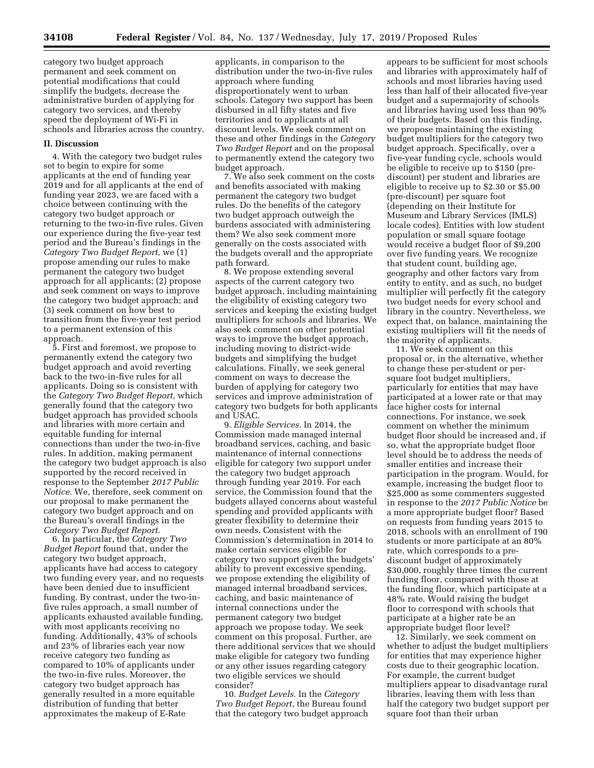category two budget approach permanent and seek comment on potential modifications that could simplify the budgets, decrease the administrative burden of applying for category two services, and thereby speed the deployment of Wi-Fi in schools and libraries across the country.

### **II. Discussion**

4. With the category two budget rules set to begin to expire for some applicants at the end of funding year 2019 and for all applicants at the end of funding year 2023, we are faced with a choice between continuing with the category two budget approach or returning to the two-in-five rules. Given our experience during the five-year test period and the Bureau's findings in the *Category Two Budget Report,* we (1) propose amending our rules to make permanent the category two budget approach for all applicants; (2) propose and seek comment on ways to improve the category two budget approach; and (3) seek comment on how best to transition from the five-year test period to a permanent extension of this approach.

5. First and foremost, we propose to permanently extend the category two budget approach and avoid reverting back to the two-in-five rules for all applicants. Doing so is consistent with the *Category Two Budget Report,* which generally found that the category two budget approach has provided schools and libraries with more certain and equitable funding for internal connections than under the two-in-five rules. In addition, making permanent the category two budget approach is also supported by the record received in response to the September *2017 Public Notice.* We, therefore, seek comment on our proposal to make permanent the category two budget approach and on the Bureau's overall findings in the *Category Two Budget Report.* 

6. In particular, the *Category Two Budget Report* found that, under the category two budget approach, applicants have had access to category two funding every year, and no requests have been denied due to insufficient funding. By contrast, under the two-infive rules approach, a small number of applicants exhausted available funding, with most applicants receiving no funding. Additionally, 43% of schools and 23% of libraries each year now receive category two funding as compared to 10% of applicants under the two-in-five rules. Moreover, the category two budget approach has generally resulted in a more equitable distribution of funding that better approximates the makeup of E-Rate

applicants, in comparison to the distribution under the two-in-five rules approach where funding disproportionately went to urban schools. Category two support has been disbursed in all fifty states and five territories and to applicants at all discount levels. We seek comment on these and other findings in the *Category Two Budget Report* and on the proposal to permanently extend the category two budget approach.

7. We also seek comment on the costs and benefits associated with making permanent the category two budget rules. Do the benefits of the category two budget approach outweigh the burdens associated with administering them? We also seek comment more generally on the costs associated with the budgets overall and the appropriate path forward.

8. We propose extending several aspects of the current category two budget approach, including maintaining the eligibility of existing category two services and keeping the existing budget multipliers for schools and libraries. We also seek comment on other potential ways to improve the budget approach, including moving to district-wide budgets and simplifying the budget calculations. Finally, we seek general comment on ways to decrease the burden of applying for category two services and improve administration of category two budgets for both applicants and USAC.

9. *Eligible Services.* In 2014, the Commission made managed internal broadband services, caching, and basic maintenance of internal connections eligible for category two support under the category two budget approach through funding year 2019. For each service, the Commission found that the budgets allayed concerns about wasteful spending and provided applicants with greater flexibility to determine their own needs. Consistent with the Commission's determination in 2014 to make certain services eligible for category two support given the budgets' ability to prevent excessive spending, we propose extending the eligibility of managed internal broadband services, caching, and basic maintenance of internal connections under the permanent category two budget approach we propose today. We seek comment on this proposal. Further, are there additional services that we should make eligible for category two funding or any other issues regarding category two eligible services we should consider?

10. *Budget Levels.* In the *Category Two Budget Report,* the Bureau found that the category two budget approach

appears to be sufficient for most schools and libraries with approximately half of schools and most libraries having used less than half of their allocated five-year budget and a supermajority of schools and libraries having used less than 90% of their budgets. Based on this finding, we propose maintaining the existing budget multipliers for the category two budget approach. Specifically, over a five-year funding cycle, schools would be eligible to receive up to \$150 (prediscount) per student and libraries are eligible to receive up to \$2.30 or \$5.00 (pre-discount) per square foot (depending on their Institute for Museum and Library Services (IMLS) locale codes). Entities with low student population or small square footage would receive a budget floor of \$9,200 over five funding years. We recognize that student count, building age, geography and other factors vary from entity to entity, and as such, no budget multiplier will perfectly fit the category two budget needs for every school and library in the country. Nevertheless, we expect that, on balance, maintaining the existing multipliers will fit the needs of the majority of applicants.

11. We seek comment on this proposal or, in the alternative, whether to change these per-student or persquare foot budget multipliers, particularly for entities that may have participated at a lower rate or that may face higher costs for internal connections. For instance, we seek comment on whether the minimum budget floor should be increased and, if so, what the appropriate budget floor level should be to address the needs of smaller entities and increase their participation in the program. Would, for example, increasing the budget floor to \$25,000 as some commenters suggested in response to the *2017 Public Notice* be a more appropriate budget floor? Based on requests from funding years 2015 to 2018, schools with an enrollment of 190 students or more participate at an 80% rate, which corresponds to a prediscount budget of approximately \$30,000, roughly three times the current funding floor, compared with those at the funding floor, which participate at a 48% rate. Would raising the budget floor to correspond with schools that participate at a higher rate be an appropriate budget floor level?

12. Similarly, we seek comment on whether to adjust the budget multipliers for entities that may experience higher costs due to their geographic location. For example, the current budget multipliers appear to disadvantage rural libraries, leaving them with less than half the category two budget support per square foot than their urban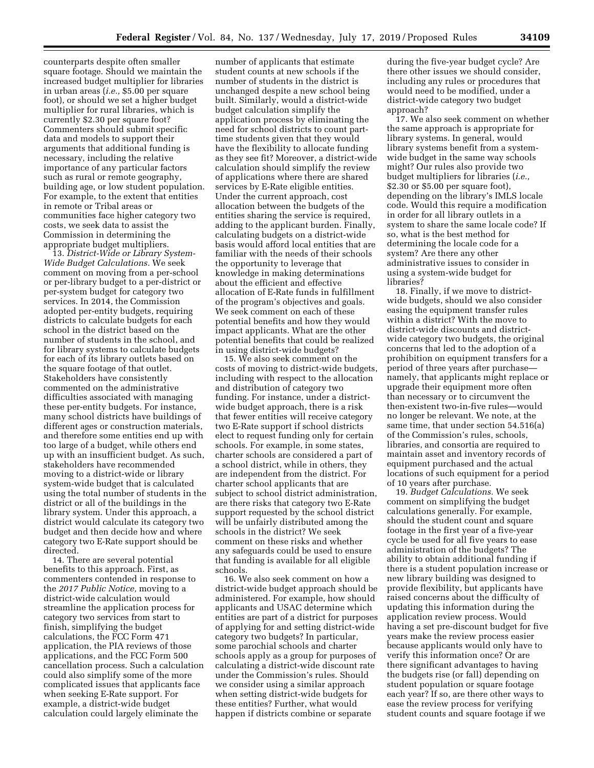counterparts despite often smaller square footage. Should we maintain the increased budget multiplier for libraries in urban areas (*i.e.,* \$5.00 per square foot), or should we set a higher budget multiplier for rural libraries, which is currently \$2.30 per square foot? Commenters should submit specific data and models to support their arguments that additional funding is necessary, including the relative importance of any particular factors such as rural or remote geography, building age, or low student population. For example, to the extent that entities in remote or Tribal areas or communities face higher category two costs, we seek data to assist the Commission in determining the appropriate budget multipliers.

13. *District-Wide or Library System-Wide Budget Calculations.* We seek comment on moving from a per-school or per-library budget to a per-district or per-system budget for category two services. In 2014, the Commission adopted per-entity budgets, requiring districts to calculate budgets for each school in the district based on the number of students in the school, and for library systems to calculate budgets for each of its library outlets based on the square footage of that outlet. Stakeholders have consistently commented on the administrative difficulties associated with managing these per-entity budgets. For instance, many school districts have buildings of different ages or construction materials, and therefore some entities end up with too large of a budget, while others end up with an insufficient budget. As such, stakeholders have recommended moving to a district-wide or library system-wide budget that is calculated using the total number of students in the district or all of the buildings in the library system. Under this approach, a district would calculate its category two budget and then decide how and where category two E-Rate support should be directed.

14. There are several potential benefits to this approach. First, as commenters contended in response to the *2017 Public Notice,* moving to a district-wide calculation would streamline the application process for category two services from start to finish, simplifying the budget calculations, the FCC Form 471 application, the PIA reviews of those applications, and the FCC Form 500 cancellation process. Such a calculation could also simplify some of the more complicated issues that applicants face when seeking E-Rate support. For example, a district-wide budget calculation could largely eliminate the

number of applicants that estimate student counts at new schools if the number of students in the district is unchanged despite a new school being built. Similarly, would a district-wide budget calculation simplify the application process by eliminating the need for school districts to count parttime students given that they would have the flexibility to allocate funding as they see fit? Moreover, a district-wide calculation should simplify the review of applications where there are shared services by E-Rate eligible entities. Under the current approach, cost allocation between the budgets of the entities sharing the service is required, adding to the applicant burden. Finally, calculating budgets on a district-wide basis would afford local entities that are familiar with the needs of their schools the opportunity to leverage that knowledge in making determinations about the efficient and effective allocation of E-Rate funds in fulfillment of the program's objectives and goals. We seek comment on each of these potential benefits and how they would impact applicants. What are the other potential benefits that could be realized in using district-wide budgets?

15. We also seek comment on the costs of moving to district-wide budgets, including with respect to the allocation and distribution of category two funding. For instance, under a districtwide budget approach, there is a risk that fewer entities will receive category two E-Rate support if school districts elect to request funding only for certain schools. For example, in some states, charter schools are considered a part of a school district, while in others, they are independent from the district. For charter school applicants that are subject to school district administration, are there risks that category two E-Rate support requested by the school district will be unfairly distributed among the schools in the district? We seek comment on these risks and whether any safeguards could be used to ensure that funding is available for all eligible schools.

16. We also seek comment on how a district-wide budget approach should be administered. For example, how should applicants and USAC determine which entities are part of a district for purposes of applying for and setting district-wide category two budgets? In particular, some parochial schools and charter schools apply as a group for purposes of calculating a district-wide discount rate under the Commission's rules. Should we consider using a similar approach when setting district-wide budgets for these entities? Further, what would happen if districts combine or separate

during the five-year budget cycle? Are there other issues we should consider, including any rules or procedures that would need to be modified, under a district-wide category two budget approach?

17. We also seek comment on whether the same approach is appropriate for library systems. In general, would library systems benefit from a systemwide budget in the same way schools might? Our rules also provide two budget multipliers for libraries (*i.e.,*  \$2.30 or \$5.00 per square foot), depending on the library's IMLS locale code. Would this require a modification in order for all library outlets in a system to share the same locale code? If so, what is the best method for determining the locale code for a system? Are there any other administrative issues to consider in using a system-wide budget for libraries?

18. Finally, if we move to districtwide budgets, should we also consider easing the equipment transfer rules within a district? With the move to district-wide discounts and districtwide category two budgets, the original concerns that led to the adoption of a prohibition on equipment transfers for a period of three years after purchase namely, that applicants might replace or upgrade their equipment more often than necessary or to circumvent the then-existent two-in-five rules—would no longer be relevant. We note, at the same time, that under section 54.516(a) of the Commission's rules, schools, libraries, and consortia are required to maintain asset and inventory records of equipment purchased and the actual locations of such equipment for a period of 10 years after purchase.

19. *Budget Calculations.* We seek comment on simplifying the budget calculations generally. For example, should the student count and square footage in the first year of a five-year cycle be used for all five years to ease administration of the budgets? The ability to obtain additional funding if there is a student population increase or new library building was designed to provide flexibility, but applicants have raised concerns about the difficulty of updating this information during the application review process. Would having a set pre-discount budget for five years make the review process easier because applicants would only have to verify this information once? Or are there significant advantages to having the budgets rise (or fall) depending on student population or square footage each year? If so, are there other ways to ease the review process for verifying student counts and square footage if we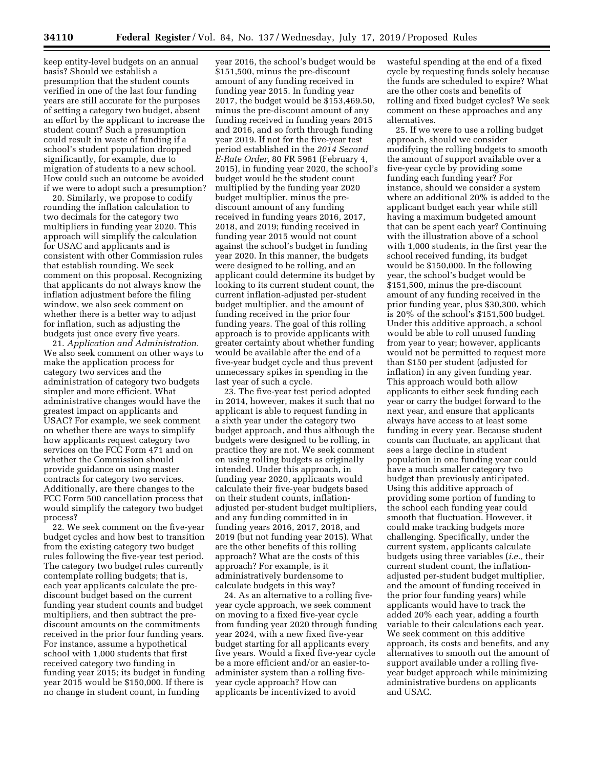keep entity-level budgets on an annual basis? Should we establish a presumption that the student counts verified in one of the last four funding years are still accurate for the purposes of setting a category two budget, absent an effort by the applicant to increase the student count? Such a presumption could result in waste of funding if a school's student population dropped significantly, for example, due to migration of students to a new school. How could such an outcome be avoided if we were to adopt such a presumption?

20. Similarly, we propose to codify rounding the inflation calculation to two decimals for the category two multipliers in funding year 2020. This approach will simplify the calculation for USAC and applicants and is consistent with other Commission rules that establish rounding. We seek comment on this proposal. Recognizing that applicants do not always know the inflation adjustment before the filing window, we also seek comment on whether there is a better way to adjust for inflation, such as adjusting the budgets just once every five years.

21. *Application and Administration.*  We also seek comment on other ways to make the application process for category two services and the administration of category two budgets simpler and more efficient. What administrative changes would have the greatest impact on applicants and USAC? For example, we seek comment on whether there are ways to simplify how applicants request category two services on the FCC Form 471 and on whether the Commission should provide guidance on using master contracts for category two services. Additionally, are there changes to the FCC Form 500 cancellation process that would simplify the category two budget process?

22. We seek comment on the five-year budget cycles and how best to transition from the existing category two budget rules following the five-year test period. The category two budget rules currently contemplate rolling budgets; that is, each year applicants calculate the prediscount budget based on the current funding year student counts and budget multipliers, and then subtract the prediscount amounts on the commitments received in the prior four funding years. For instance, assume a hypothetical school with 1,000 students that first received category two funding in funding year 2015; its budget in funding year 2015 would be \$150,000. If there is no change in student count, in funding

year 2016, the school's budget would be \$151,500, minus the pre-discount amount of any funding received in funding year 2015. In funding year 2017, the budget would be \$153,469.50, minus the pre-discount amount of any funding received in funding years 2015 and 2016, and so forth through funding year 2019. If not for the five-year test period established in the *2014 Second E-Rate Order,* 80 FR 5961 (February 4, 2015), in funding year 2020, the school's budget would be the student count multiplied by the funding year 2020 budget multiplier, minus the prediscount amount of any funding received in funding years 2016, 2017, 2018, and 2019; funding received in funding year 2015 would not count against the school's budget in funding year 2020. In this manner, the budgets were designed to be rolling, and an applicant could determine its budget by looking to its current student count, the current inflation-adjusted per-student budget multiplier, and the amount of funding received in the prior four funding years. The goal of this rolling approach is to provide applicants with greater certainty about whether funding would be available after the end of a five-year budget cycle and thus prevent unnecessary spikes in spending in the last year of such a cycle.

23. The five-year test period adopted in 2014, however, makes it such that no applicant is able to request funding in a sixth year under the category two budget approach, and thus although the budgets were designed to be rolling, in practice they are not. We seek comment on using rolling budgets as originally intended. Under this approach, in funding year 2020, applicants would calculate their five-year budgets based on their student counts, inflationadjusted per-student budget multipliers, and any funding committed in in funding years 2016, 2017, 2018, and 2019 (but not funding year 2015). What are the other benefits of this rolling approach? What are the costs of this approach? For example, is it administratively burdensome to calculate budgets in this way?

24. As an alternative to a rolling fiveyear cycle approach, we seek comment on moving to a fixed five-year cycle from funding year 2020 through funding year 2024, with a new fixed five-year budget starting for all applicants every five years. Would a fixed five-year cycle be a more efficient and/or an easier-toadminister system than a rolling fiveyear cycle approach? How can applicants be incentivized to avoid

wasteful spending at the end of a fixed cycle by requesting funds solely because the funds are scheduled to expire? What are the other costs and benefits of rolling and fixed budget cycles? We seek comment on these approaches and any alternatives.

25. If we were to use a rolling budget approach, should we consider modifying the rolling budgets to smooth the amount of support available over a five-year cycle by providing some funding each funding year? For instance, should we consider a system where an additional 20% is added to the applicant budget each year while still having a maximum budgeted amount that can be spent each year? Continuing with the illustration above of a school with 1,000 students, in the first year the school received funding, its budget would be \$150,000. In the following year, the school's budget would be \$151,500, minus the pre-discount amount of any funding received in the prior funding year, plus \$30,300, which is 20% of the school's \$151,500 budget. Under this additive approach, a school would be able to roll unused funding from year to year; however, applicants would not be permitted to request more than \$150 per student (adjusted for inflation) in any given funding year. This approach would both allow applicants to either seek funding each year or carry the budget forward to the next year, and ensure that applicants always have access to at least some funding in every year. Because student counts can fluctuate, an applicant that sees a large decline in student population in one funding year could have a much smaller category two budget than previously anticipated. Using this additive approach of providing some portion of funding to the school each funding year could smooth that fluctuation. However, it could make tracking budgets more challenging. Specifically, under the current system, applicants calculate budgets using three variables (*i.e.,* their current student count, the inflationadjusted per-student budget multiplier, and the amount of funding received in the prior four funding years) while applicants would have to track the added 20% each year, adding a fourth variable to their calculations each year. We seek comment on this additive approach, its costs and benefits, and any alternatives to smooth out the amount of support available under a rolling fiveyear budget approach while minimizing administrative burdens on applicants and USAC.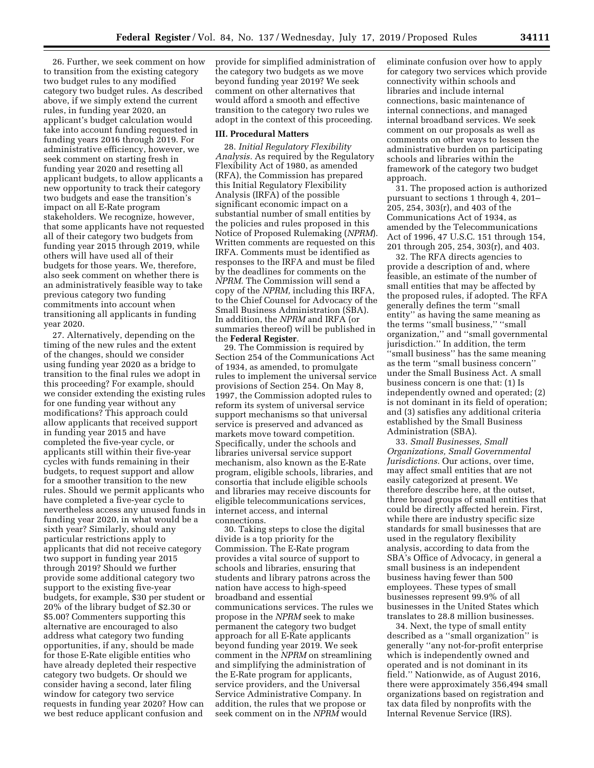26. Further, we seek comment on how to transition from the existing category two budget rules to any modified category two budget rules. As described above, if we simply extend the current rules, in funding year 2020, an applicant's budget calculation would take into account funding requested in funding years 2016 through 2019. For administrative efficiency, however, we seek comment on starting fresh in funding year 2020 and resetting all applicant budgets, to allow applicants a new opportunity to track their category two budgets and ease the transition's impact on all E-Rate program stakeholders. We recognize, however, that some applicants have not requested all of their category two budgets from funding year 2015 through 2019, while others will have used all of their budgets for those years. We, therefore, also seek comment on whether there is an administratively feasible way to take previous category two funding commitments into account when transitioning all applicants in funding year 2020.

27. Alternatively, depending on the timing of the new rules and the extent of the changes, should we consider using funding year 2020 as a bridge to transition to the final rules we adopt in this proceeding? For example, should we consider extending the existing rules for one funding year without any modifications? This approach could allow applicants that received support in funding year 2015 and have completed the five-year cycle, or applicants still within their five-year cycles with funds remaining in their budgets, to request support and allow for a smoother transition to the new rules. Should we permit applicants who have completed a five-year cycle to nevertheless access any unused funds in funding year 2020, in what would be a sixth year? Similarly, should any particular restrictions apply to applicants that did not receive category two support in funding year 2015 through 2019? Should we further provide some additional category two support to the existing five-year budgets, for example, \$30 per student or 20% of the library budget of \$2.30 or \$5.00? Commenters supporting this alternative are encouraged to also address what category two funding opportunities, if any, should be made for those E-Rate eligible entities who have already depleted their respective category two budgets. Or should we consider having a second, later filing window for category two service requests in funding year 2020? How can we best reduce applicant confusion and

provide for simplified administration of the category two budgets as we move beyond funding year 2019? We seek comment on other alternatives that would afford a smooth and effective transition to the category two rules we adopt in the context of this proceeding.

#### **III. Procedural Matters**

28. *Initial Regulatory Flexibility Analysis.* As required by the Regulatory Flexibility Act of 1980, as amended (RFA), the Commission has prepared this Initial Regulatory Flexibility Analysis (IRFA) of the possible significant economic impact on a substantial number of small entities by the policies and rules proposed in this Notice of Proposed Rulemaking (*NPRM*). Written comments are requested on this IRFA. Comments must be identified as responses to the IRFA and must be filed by the deadlines for comments on the *NPRM.* The Commission will send a copy of the *NPRM,* including this IRFA, to the Chief Counsel for Advocacy of the Small Business Administration (SBA). In addition, the *NPRM* and IRFA (or summaries thereof) will be published in the **Federal Register**.

29. The Commission is required by Section 254 of the Communications Act of 1934, as amended, to promulgate rules to implement the universal service provisions of Section 254. On May 8, 1997, the Commission adopted rules to reform its system of universal service support mechanisms so that universal service is preserved and advanced as markets move toward competition. Specifically, under the schools and libraries universal service support mechanism, also known as the E-Rate program, eligible schools, libraries, and consortia that include eligible schools and libraries may receive discounts for eligible telecommunications services, internet access, and internal connections.

30. Taking steps to close the digital divide is a top priority for the Commission. The E-Rate program provides a vital source of support to schools and libraries, ensuring that students and library patrons across the nation have access to high-speed broadband and essential communications services. The rules we propose in the *NPRM* seek to make permanent the category two budget approach for all E-Rate applicants beyond funding year 2019. We seek comment in the *NPRM* on streamlining and simplifying the administration of the E-Rate program for applicants, service providers, and the Universal Service Administrative Company. In addition, the rules that we propose or seek comment on in the *NPRM* would

eliminate confusion over how to apply for category two services which provide connectivity within schools and libraries and include internal connections, basic maintenance of internal connections, and managed internal broadband services. We seek comment on our proposals as well as comments on other ways to lessen the administrative burden on participating schools and libraries within the framework of the category two budget approach.

31. The proposed action is authorized pursuant to sections 1 through 4, 201– 205, 254, 303(r), and 403 of the Communications Act of 1934, as amended by the Telecommunications Act of 1996, 47 U.S.C. 151 through 154, 201 through 205, 254, 303(r), and 403.

32. The RFA directs agencies to provide a description of and, where feasible, an estimate of the number of small entities that may be affected by the proposed rules, if adopted. The RFA generally defines the term ''small entity'' as having the same meaning as the terms ''small business,'' ''small organization,'' and ''small governmental jurisdiction.'' In addition, the term ''small business'' has the same meaning as the term ''small business concern'' under the Small Business Act. A small business concern is one that: (1) Is independently owned and operated; (2) is not dominant in its field of operation; and (3) satisfies any additional criteria established by the Small Business Administration (SBA).

33. *Small Businesses, Small Organizations, Small Governmental Jurisdictions.* Our actions, over time, may affect small entities that are not easily categorized at present. We therefore describe here, at the outset, three broad groups of small entities that could be directly affected herein. First, while there are industry specific size standards for small businesses that are used in the regulatory flexibility analysis, according to data from the SBA's Office of Advocacy, in general a small business is an independent business having fewer than 500 employees. These types of small businesses represent 99.9% of all businesses in the United States which translates to 28.8 million businesses.

34. Next, the type of small entity described as a ''small organization'' is generally ''any not-for-profit enterprise which is independently owned and operated and is not dominant in its field.'' Nationwide, as of August 2016, there were approximately 356,494 small organizations based on registration and tax data filed by nonprofits with the Internal Revenue Service (IRS).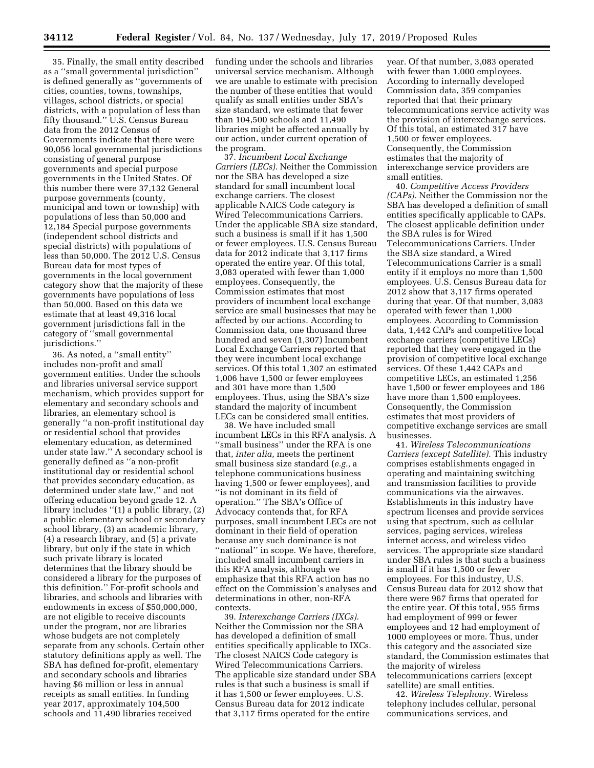35. Finally, the small entity described as a ''small governmental jurisdiction'' is defined generally as ''governments of cities, counties, towns, townships, villages, school districts, or special districts, with a population of less than fifty thousand.'' U.S. Census Bureau data from the 2012 Census of Governments indicate that there were 90,056 local governmental jurisdictions consisting of general purpose governments and special purpose governments in the United States. Of this number there were 37,132 General purpose governments (county, municipal and town or township) with populations of less than 50,000 and 12,184 Special purpose governments (independent school districts and special districts) with populations of less than 50,000. The 2012 U.S. Census Bureau data for most types of governments in the local government category show that the majority of these governments have populations of less than 50,000. Based on this data we estimate that at least 49,316 local government jurisdictions fall in the category of ''small governmental jurisdictions.''

36. As noted, a ''small entity'' includes non-profit and small government entities. Under the schools and libraries universal service support mechanism, which provides support for elementary and secondary schools and libraries, an elementary school is generally ''a non-profit institutional day or residential school that provides elementary education, as determined under state law.'' A secondary school is generally defined as ''a non-profit institutional day or residential school that provides secondary education, as determined under state law,'' and not offering education beyond grade 12. A library includes ''(1) a public library, (2) a public elementary school or secondary school library, (3) an academic library, (4) a research library, and (5) a private library, but only if the state in which such private library is located determines that the library should be considered a library for the purposes of this definition.'' For-profit schools and libraries, and schools and libraries with endowments in excess of \$50,000,000, are not eligible to receive discounts under the program, nor are libraries whose budgets are not completely separate from any schools. Certain other statutory definitions apply as well. The SBA has defined for-profit, elementary and secondary schools and libraries having \$6 million or less in annual receipts as small entities. In funding year 2017, approximately 104,500 schools and 11,490 libraries received

funding under the schools and libraries universal service mechanism. Although we are unable to estimate with precision the number of these entities that would qualify as small entities under SBA's size standard, we estimate that fewer than 104,500 schools and 11,490 libraries might be affected annually by our action, under current operation of the program.

37. *Incumbent Local Exchange Carriers (LECs).* Neither the Commission nor the SBA has developed a size standard for small incumbent local exchange carriers. The closest applicable NAICS Code category is Wired Telecommunications Carriers. Under the applicable SBA size standard, such a business is small if it has 1,500 or fewer employees. U.S. Census Bureau data for 2012 indicate that 3,117 firms operated the entire year. Of this total, 3,083 operated with fewer than 1,000 employees. Consequently, the Commission estimates that most providers of incumbent local exchange service are small businesses that may be affected by our actions. According to Commission data, one thousand three hundred and seven (1,307) Incumbent Local Exchange Carriers reported that they were incumbent local exchange services. Of this total 1,307 an estimated 1,006 have 1,500 or fewer employees and 301 have more than 1,500 employees. Thus, using the SBA's size standard the majority of incumbent LECs can be considered small entities.

38. We have included small incumbent LECs in this RFA analysis. A ''small business'' under the RFA is one that, *inter alia,* meets the pertinent small business size standard (*e.g.,* a telephone communications business having 1,500 or fewer employees), and ''is not dominant in its field of operation.'' The SBA's Office of Advocacy contends that, for RFA purposes, small incumbent LECs are not dominant in their field of operation because any such dominance is not "national" in scope. We have, therefore, included small incumbent carriers in this RFA analysis, although we emphasize that this RFA action has no effect on the Commission's analyses and determinations in other, non-RFA contexts.

39. *Interexchange Carriers (IXCs).*  Neither the Commission nor the SBA has developed a definition of small entities specifically applicable to IXCs. The closest NAICS Code category is Wired Telecommunications Carriers. The applicable size standard under SBA rules is that such a business is small if it has 1,500 or fewer employees. U.S. Census Bureau data for 2012 indicate that 3,117 firms operated for the entire

year. Of that number, 3,083 operated with fewer than 1,000 employees. According to internally developed Commission data, 359 companies reported that that their primary telecommunications service activity was the provision of interexchange services. Of this total, an estimated 317 have 1,500 or fewer employees. Consequently, the Commission estimates that the majority of interexchange service providers are small entities.

40. *Competitive Access Providers (CAPs).* Neither the Commission nor the SBA has developed a definition of small entities specifically applicable to CAPs. The closest applicable definition under the SBA rules is for Wired Telecommunications Carriers. Under the SBA size standard, a Wired Telecommunications Carrier is a small entity if it employs no more than 1,500 employees. U.S. Census Bureau data for 2012 show that 3,117 firms operated during that year. Of that number, 3,083 operated with fewer than 1,000 employees. According to Commission data, 1,442 CAPs and competitive local exchange carriers (competitive LECs) reported that they were engaged in the provision of competitive local exchange services. Of these 1,442 CAPs and competitive LECs, an estimated 1,256 have 1,500 or fewer employees and 186 have more than 1,500 employees. Consequently, the Commission estimates that most providers of competitive exchange services are small businesses.

41. *Wireless Telecommunications Carriers (except Satellite).* This industry comprises establishments engaged in operating and maintaining switching and transmission facilities to provide communications via the airwaves. Establishments in this industry have spectrum licenses and provide services using that spectrum, such as cellular services, paging services, wireless internet access, and wireless video services. The appropriate size standard under SBA rules is that such a business is small if it has 1,500 or fewer employees. For this industry, U.S. Census Bureau data for 2012 show that there were 967 firms that operated for the entire year. Of this total, 955 firms had employment of 999 or fewer employees and 12 had employment of 1000 employees or more. Thus, under this category and the associated size standard, the Commission estimates that the majority of wireless telecommunications carriers (except satellite) are small entities.

42. *Wireless Telephony.* Wireless telephony includes cellular, personal communications services, and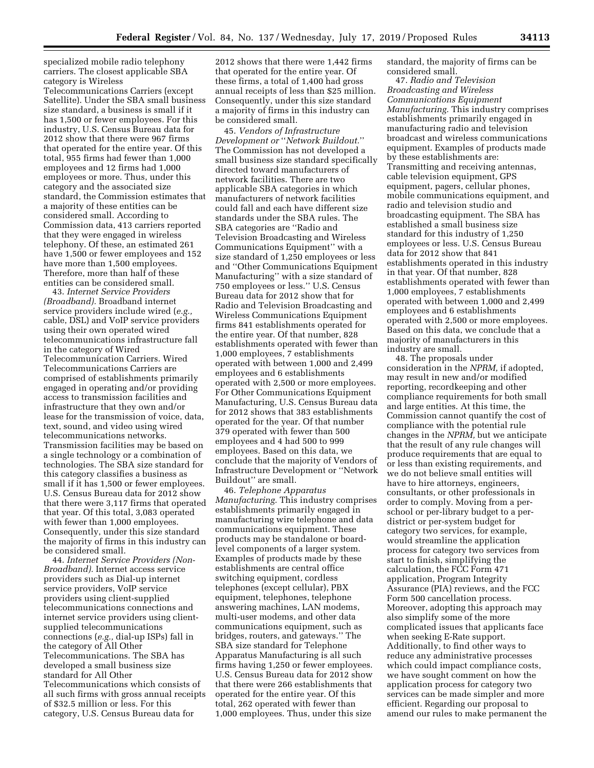specialized mobile radio telephony carriers. The closest applicable SBA category is Wireless

Telecommunications Carriers (except Satellite). Under the SBA small business size standard, a business is small if it has 1,500 or fewer employees. For this industry, U.S. Census Bureau data for 2012 show that there were 967 firms that operated for the entire year. Of this total, 955 firms had fewer than 1,000 employees and 12 firms had 1,000 employees or more. Thus, under this category and the associated size standard, the Commission estimates that a majority of these entities can be considered small. According to Commission data, 413 carriers reported that they were engaged in wireless telephony. Of these, an estimated 261 have 1,500 or fewer employees and 152 have more than 1,500 employees. Therefore, more than half of these entities can be considered small.

43. *Internet Service Providers (Broadband).* Broadband internet service providers include wired (*e.g.,*  cable, DSL) and VoIP service providers using their own operated wired telecommunications infrastructure fall in the category of Wired Telecommunication Carriers. Wired Telecommunications Carriers are comprised of establishments primarily engaged in operating and/or providing access to transmission facilities and infrastructure that they own and/or lease for the transmission of voice, data, text, sound, and video using wired telecommunications networks. Transmission facilities may be based on a single technology or a combination of technologies. The SBA size standard for this category classifies a business as small if it has 1,500 or fewer employees. U.S. Census Bureau data for 2012 show that there were 3,117 firms that operated that year. Of this total, 3,083 operated with fewer than 1,000 employees. Consequently, under this size standard the majority of firms in this industry can be considered small.

44. *Internet Service Providers (Non-Broadband).* Internet access service providers such as Dial-up internet service providers, VoIP service providers using client-supplied telecommunications connections and internet service providers using clientsupplied telecommunications connections (*e.g.,* dial-up ISPs) fall in the category of All Other Telecommunications. The SBA has developed a small business size standard for All Other Telecommunications which consists of all such firms with gross annual receipts of \$32.5 million or less. For this category, U.S. Census Bureau data for

2012 shows that there were 1,442 firms that operated for the entire year. Of these firms, a total of 1,400 had gross annual receipts of less than \$25 million. Consequently, under this size standard a majority of firms in this industry can be considered small.

45. *Vendors of Infrastructure Development or* ''*Network Buildout.*'' The Commission has not developed a small business size standard specifically directed toward manufacturers of network facilities. There are two applicable SBA categories in which manufacturers of network facilities could fall and each have different size standards under the SBA rules. The SBA categories are ''Radio and Television Broadcasting and Wireless Communications Equipment'' with a size standard of 1,250 employees or less and ''Other Communications Equipment Manufacturing'' with a size standard of 750 employees or less.'' U.S. Census Bureau data for 2012 show that for Radio and Television Broadcasting and Wireless Communications Equipment firms 841 establishments operated for the entire year. Of that number, 828 establishments operated with fewer than 1,000 employees, 7 establishments operated with between 1,000 and 2,499 employees and 6 establishments operated with 2,500 or more employees. For Other Communications Equipment Manufacturing, U.S. Census Bureau data for 2012 shows that 383 establishments operated for the year. Of that number 379 operated with fewer than 500 employees and 4 had 500 to 999 employees. Based on this data, we conclude that the majority of Vendors of Infrastructure Development or ''Network Buildout'' are small.

46. *Telephone Apparatus Manufacturing.* This industry comprises establishments primarily engaged in manufacturing wire telephone and data communications equipment. These products may be standalone or boardlevel components of a larger system. Examples of products made by these establishments are central office switching equipment, cordless telephones (except cellular), PBX equipment, telephones, telephone answering machines, LAN modems, multi-user modems, and other data communications equipment, such as bridges, routers, and gateways.'' The SBA size standard for Telephone Apparatus Manufacturing is all such firms having 1,250 or fewer employees. U.S. Census Bureau data for 2012 show that there were 266 establishments that operated for the entire year. Of this total, 262 operated with fewer than 1,000 employees. Thus, under this size

standard, the majority of firms can be considered small.

47. *Radio and Television Broadcasting and Wireless Communications Equipment Manufacturing.* This industry comprises establishments primarily engaged in manufacturing radio and television broadcast and wireless communications equipment. Examples of products made by these establishments are: Transmitting and receiving antennas, cable television equipment, GPS equipment, pagers, cellular phones, mobile communications equipment, and radio and television studio and broadcasting equipment. The SBA has established a small business size standard for this industry of 1,250 employees or less. U.S. Census Bureau data for 2012 show that 841 establishments operated in this industry in that year. Of that number, 828 establishments operated with fewer than 1,000 employees, 7 establishments operated with between 1,000 and 2,499 employees and 6 establishments operated with 2,500 or more employees. Based on this data, we conclude that a majority of manufacturers in this industry are small.

48. The proposals under consideration in the *NPRM,* if adopted, may result in new and/or modified reporting, recordkeeping and other compliance requirements for both small and large entities. At this time, the Commission cannot quantify the cost of compliance with the potential rule changes in the *NPRM,* but we anticipate that the result of any rule changes will produce requirements that are equal to or less than existing requirements, and we do not believe small entities will have to hire attorneys, engineers, consultants, or other professionals in order to comply. Moving from a perschool or per-library budget to a perdistrict or per-system budget for category two services, for example, would streamline the application process for category two services from start to finish, simplifying the calculation, the FCC Form 471 application, Program Integrity Assurance (PIA) reviews, and the FCC Form 500 cancellation process. Moreover, adopting this approach may also simplify some of the more complicated issues that applicants face when seeking E-Rate support. Additionally, to find other ways to reduce any administrative processes which could impact compliance costs, we have sought comment on how the application process for category two services can be made simpler and more efficient. Regarding our proposal to amend our rules to make permanent the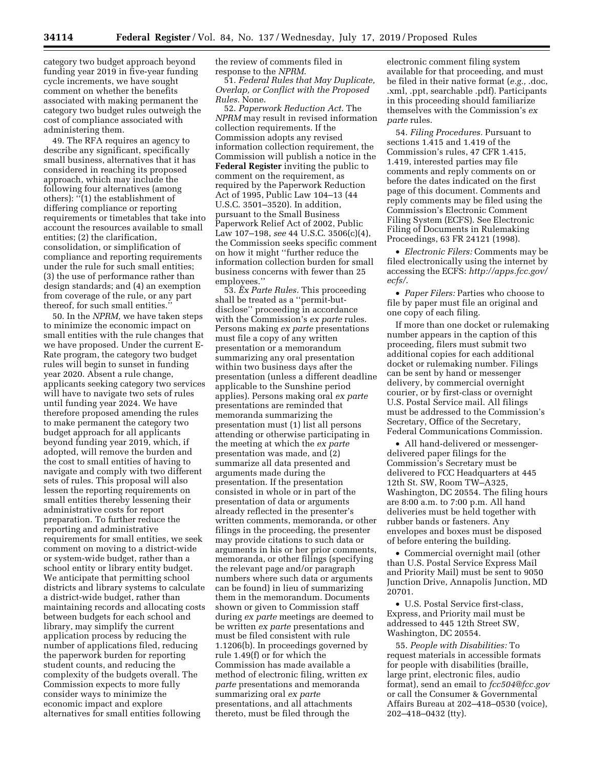category two budget approach beyond funding year 2019 in five-year funding cycle increments, we have sought comment on whether the benefits associated with making permanent the category two budget rules outweigh the cost of compliance associated with administering them.

49. The RFA requires an agency to describe any significant, specifically small business, alternatives that it has considered in reaching its proposed approach, which may include the following four alternatives (among others): ''(1) the establishment of differing compliance or reporting requirements or timetables that take into account the resources available to small entities; (2) the clarification, consolidation, or simplification of compliance and reporting requirements under the rule for such small entities; (3) the use of performance rather than design standards; and (4) an exemption from coverage of the rule, or any part thereof, for such small entities.''

50. In the *NPRM,* we have taken steps to minimize the economic impact on small entities with the rule changes that we have proposed. Under the current E-Rate program, the category two budget rules will begin to sunset in funding year 2020. Absent a rule change, applicants seeking category two services will have to navigate two sets of rules until funding year 2024. We have therefore proposed amending the rules to make permanent the category two budget approach for all applicants beyond funding year 2019, which, if adopted, will remove the burden and the cost to small entities of having to navigate and comply with two different sets of rules. This proposal will also lessen the reporting requirements on small entities thereby lessening their administrative costs for report preparation. To further reduce the reporting and administrative requirements for small entities, we seek comment on moving to a district-wide or system-wide budget, rather than a school entity or library entity budget. We anticipate that permitting school districts and library systems to calculate a district-wide budget, rather than maintaining records and allocating costs between budgets for each school and library, may simplify the current application process by reducing the number of applications filed, reducing the paperwork burden for reporting student counts, and reducing the complexity of the budgets overall. The Commission expects to more fully consider ways to minimize the economic impact and explore alternatives for small entities following

the review of comments filed in response to the *NPRM*.

51. *Federal Rules that May Duplicate, Overlap, or Conflict with the Proposed Rules.* None.

52. *Paperwork Reduction Act.* The *NPRM* may result in revised information collection requirements. If the Commission adopts any revised information collection requirement, the Commission will publish a notice in the **Federal Register** inviting the public to comment on the requirement, as required by the Paperwork Reduction Act of 1995, Public Law 104–13 (44 U.S.C. 3501–3520). In addition, pursuant to the Small Business Paperwork Relief Act of 2002, Public Law 107–198, *see* 44 U.S.C. 3506(c)(4), the Commission seeks specific comment on how it might ''further reduce the information collection burden for small business concerns with fewer than 25 employees.''

53. *Ex Parte Rules.* This proceeding shall be treated as a ''permit-butdisclose'' proceeding in accordance with the Commission's *ex parte* rules. Persons making *ex parte* presentations must file a copy of any written presentation or a memorandum summarizing any oral presentation within two business days after the presentation (unless a different deadline applicable to the Sunshine period applies). Persons making oral *ex parte*  presentations are reminded that memoranda summarizing the presentation must (1) list all persons attending or otherwise participating in the meeting at which the *ex parte*  presentation was made, and (2) summarize all data presented and arguments made during the presentation. If the presentation consisted in whole or in part of the presentation of data or arguments already reflected in the presenter's written comments, memoranda, or other filings in the proceeding, the presenter may provide citations to such data or arguments in his or her prior comments, memoranda, or other filings (specifying the relevant page and/or paragraph numbers where such data or arguments can be found) in lieu of summarizing them in the memorandum. Documents shown or given to Commission staff during *ex parte* meetings are deemed to be written *ex parte* presentations and must be filed consistent with rule 1.1206(b). In proceedings governed by rule 1.49(f) or for which the Commission has made available a method of electronic filing, written *ex parte* presentations and memoranda summarizing oral *ex parte*  presentations, and all attachments thereto, must be filed through the

electronic comment filing system available for that proceeding, and must be filed in their native format (*e.g.,* .doc, .xml, .ppt, searchable .pdf). Participants in this proceeding should familiarize themselves with the Commission's *ex parte* rules.

54. *Filing Procedures.* Pursuant to sections 1.415 and 1.419 of the Commission's rules, 47 CFR 1.415, 1.419, interested parties may file comments and reply comments on or before the dates indicated on the first page of this document. Comments and reply comments may be filed using the Commission's Electronic Comment Filing System (ECFS). See Electronic Filing of Documents in Rulemaking Proceedings, 63 FR 24121 (1998).

• *Electronic Filers:* Comments may be filed electronically using the internet by accessing the ECFS: *[http://apps.fcc.gov/](http://apps.fcc.gov/ecfs/)  [ecfs/](http://apps.fcc.gov/ecfs/)*.

• *Paper Filers:* Parties who choose to file by paper must file an original and one copy of each filing.

If more than one docket or rulemaking number appears in the caption of this proceeding, filers must submit two additional copies for each additional docket or rulemaking number. Filings can be sent by hand or messenger delivery, by commercial overnight courier, or by first-class or overnight U.S. Postal Service mail. All filings must be addressed to the Commission's Secretary, Office of the Secretary, Federal Communications Commission.

• All hand-delivered or messengerdelivered paper filings for the Commission's Secretary must be delivered to FCC Headquarters at 445 12th St. SW, Room TW–A325, Washington, DC 20554. The filing hours are 8:00 a.m. to 7:00 p.m. All hand deliveries must be held together with rubber bands or fasteners. Any envelopes and boxes must be disposed of before entering the building.

• Commercial overnight mail (other than U.S. Postal Service Express Mail and Priority Mail) must be sent to 9050 Junction Drive, Annapolis Junction, MD 20701.

• U.S. Postal Service first-class, Express, and Priority mail must be addressed to 445 12th Street SW, Washington, DC 20554.

55. *People with Disabilities:* To request materials in accessible formats for people with disabilities (braille, large print, electronic files, audio format), send an email to *[fcc504@fcc.gov](mailto:fcc504@fcc.gov)*  or call the Consumer & Governmental Affairs Bureau at 202–418–0530 (voice), 202–418–0432 (tty).